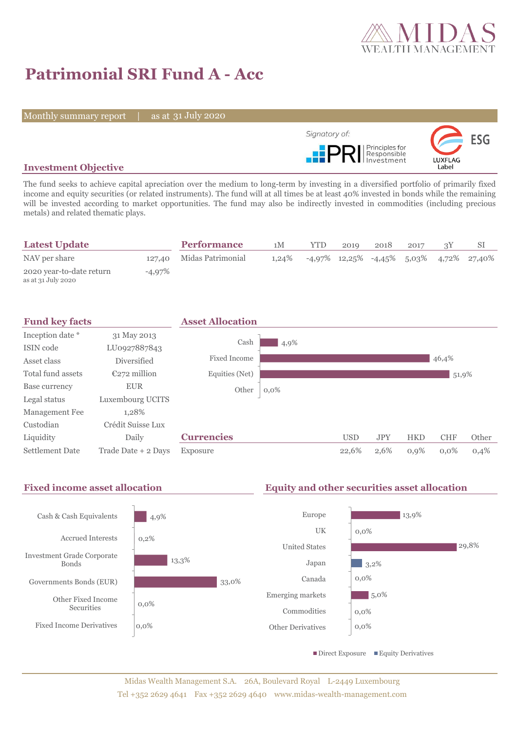

# **Patrimonial SRI Fund A - Acc**

Monthly summary report | as at 31 July 2020



### **Investment Objective**

The fund seeks to achieve capital apreciation over the medium to long-term by investing in a diversified portfolio of primarily fixed income and equity securities (or related instruments). The fund will at all times be at least 40% invested in bonds while the remaining will be invested according to market opportunities. The fund may also be indirectly invested in commodities (including precious metals) and related thematic plays.

| <b>Latest Update</b>                           |        | <b>Performance</b>       | 1M       | <b>YTD</b>                                    | 2019 | 2018 | 2017 |  |
|------------------------------------------------|--------|--------------------------|----------|-----------------------------------------------|------|------|------|--|
| NAV per share                                  |        | 127,40 Midas Patrimonial | $1.24\%$ | $-4.97\%$ 12.25% $-4.45\%$ 5.03% 4.72% 27.40% |      |      |      |  |
| 2020 year-to-date return<br>as at 31 July 2020 | -4,97% |                          |          |                                               |      |      |      |  |



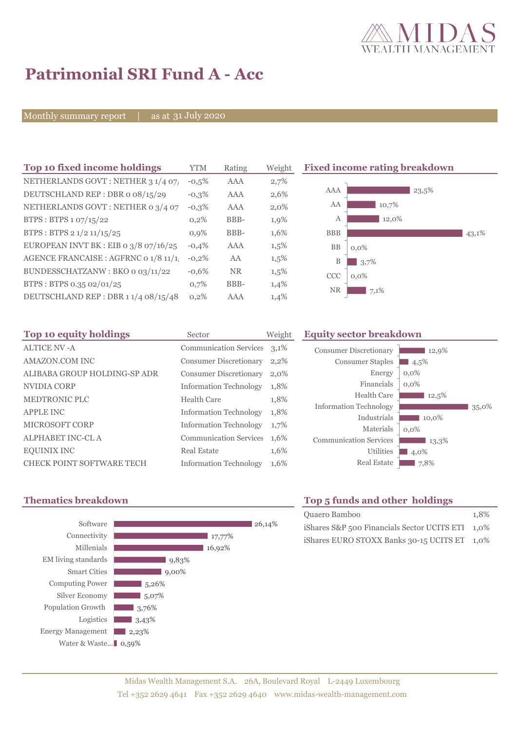

# **Patrimonial SRI Fund A - Acc**

Monthly summary report | as at 31 July 2020

| Top 10 fixed income holdings          | <b>YTM</b> | Rating    | Weigh   |
|---------------------------------------|------------|-----------|---------|
| NETHERLANDS GOVT: NETHER 3 1/4 07/    | $-0.5%$    | AAA       | 2,7%    |
| DEUTSCHLAND REP: DBR o 08/15/29       | $-0.3%$    | AAA       | 2,6%    |
| NETHERLANDS GOVT : NETHER 0 3/4 07    | $-0.3%$    | AAA       | $2,0\%$ |
| BTPS: BTPS 1 07/15/22                 | 0,2%       | BBB-      | 1,9%    |
| BTPS: BTPS 2 1/2 11/15/25             | 0.9%       | BBB-      | 1,6%    |
| EUROPEAN INVT BK : EIB o 3/8 07/16/25 | $-0.4%$    | AAA       | 1,5%    |
| AGENCE FRANCAISE : AGFRNC 0 1/8 11/1! | $-0,2%$    | AA        | 1,5%    |
| BUNDESSCHATZANW: BKO 0 03/11/22       | $-0.6%$    | <b>NR</b> | 1,5%    |
| BTPS: BTPS 0.35 02/01/25              | 0,7%       | BBB-      | 1,4%    |
| DEUTSCHLAND REP: DBR 11/4 08/15/48    | 0,2%       | AAA       | 1,4%    |

**Fixed income rating breakdown** 



| Top 10 equity holdings           | Sector                        | Weigh   |
|----------------------------------|-------------------------------|---------|
| <b>ALTICE NV-A</b>               | <b>Communication Services</b> | 3,1%    |
| <b>AMAZON.COM INC</b>            | <b>Consumer Discretionary</b> | $2,2\%$ |
| ALIBABA GROUP HOLDING-SP ADR     | <b>Consumer Discretionary</b> | 2,0%    |
| NVIDIA CORP                      | <b>Information Technology</b> | 1,8%    |
| <b>MEDTRONIC PLC</b>             | Health Care                   | 1,8%    |
| <b>APPLE INC</b>                 | <b>Information Technology</b> | 1,8%    |
| <b>MICROSOFT CORP</b>            | <b>Information Technology</b> | $1,7\%$ |
| <b>ALPHABET INC-CL A</b>         | <b>Communication Services</b> | 1,6%    |
| <b>EQUINIX INC</b>               | <b>Real Estate</b>            | 1,6%    |
| <b>CHECK POINT SOFTWARE TECH</b> | <b>Information Technology</b> | 1,6%    |

#### **Top 10 Equity sector breakdown**

| <b>Consumer Discretionary</b><br><b>Consumer Staples</b><br>Energy<br>Financials<br>Health Care | 12,9%<br>4,5%<br>$0,0\%$<br>$0.0\%$<br>12,5% |       |
|-------------------------------------------------------------------------------------------------|----------------------------------------------|-------|
| <b>Information Technology</b>                                                                   |                                              | 35,0% |
| Industrials                                                                                     | 10,0%                                        |       |
| Materials                                                                                       | $0.0\%$                                      |       |
| <b>Communication Services</b>                                                                   | 13,3%                                        |       |
| <b>Utilities</b>                                                                                | 4,0%                                         |       |
| <b>Real Estate</b>                                                                              | 7,8%                                         |       |



## **Thematics breakdown Top 5 funds and other holdings**

| Quaero Bamboo                                    | 1.8% |
|--------------------------------------------------|------|
| iShares S&P 500 Financials Sector UCITS ETI 1,0% |      |
| iShares EURO STOXX Banks 30-15 UCITS ET 1,0%     |      |